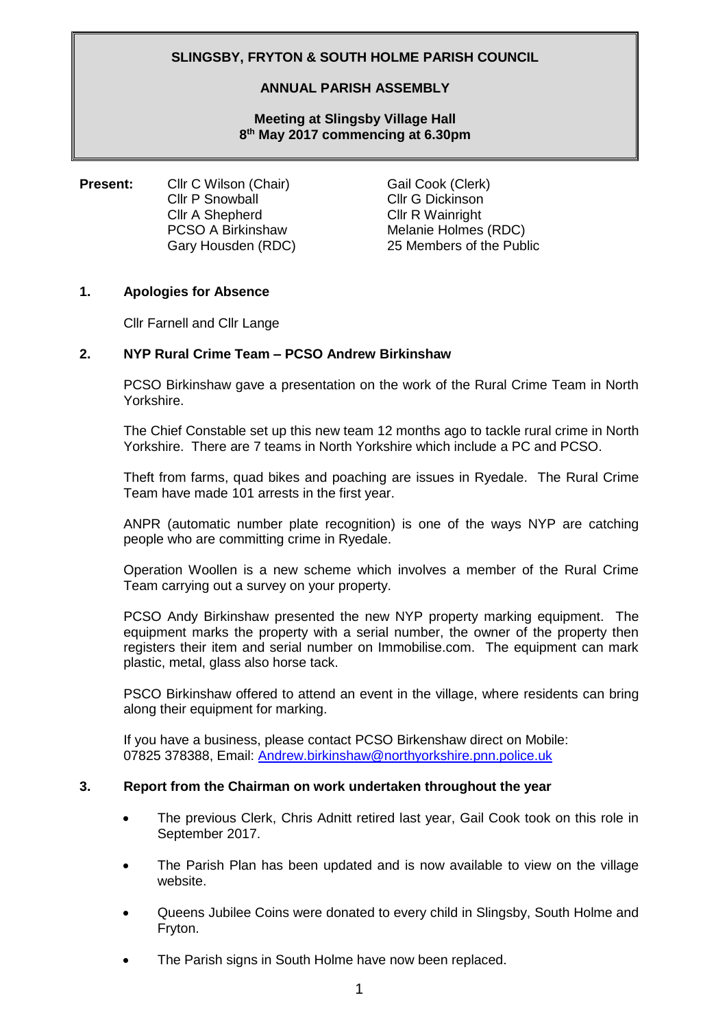# **SLINGSBY, FRYTON & SOUTH HOLME PARISH COUNCIL**

### **ANNUAL PARISH ASSEMBLY**

**Meeting at Slingsby Village Hall 8 th May 2017 commencing at 6.30pm**

**Present:** Cllr C Wilson (Chair) Gail Cook (Clerk) Cllr P Snowball Cllr G Dickinson Cllr A Shepherd Cllr R Wainright PCSO A Birkinshaw Melanie Holmes (RDC)

Gary Housden (RDC) 25 Members of the Public

## **1. Apologies for Absence**

Cllr Farnell and Cllr Lange

### **2. NYP Rural Crime Team – PCSO Andrew Birkinshaw**

PCSO Birkinshaw gave a presentation on the work of the Rural Crime Team in North Yorkshire.

The Chief Constable set up this new team 12 months ago to tackle rural crime in North Yorkshire. There are 7 teams in North Yorkshire which include a PC and PCSO.

Theft from farms, quad bikes and poaching are issues in Ryedale. The Rural Crime Team have made 101 arrests in the first year.

ANPR (automatic number plate recognition) is one of the ways NYP are catching people who are committing crime in Ryedale.

Operation Woollen is a new scheme which involves a member of the Rural Crime Team carrying out a survey on your property.

PCSO Andy Birkinshaw presented the new NYP property marking equipment. The equipment marks the property with a serial number, the owner of the property then registers their item and serial number on Immobilise.com. The equipment can mark plastic, metal, glass also horse tack.

PSCO Birkinshaw offered to attend an event in the village, where residents can bring along their equipment for marking.

If you have a business, please contact PCSO Birkenshaw direct on Mobile: 07825 378388, Email: [Andrew.birkinshaw@northyorkshire.pnn.police.uk](mailto:Andrew.birkinshaw@northyorkshire.pnn.police.uk)

#### **3. Report from the Chairman on work undertaken throughout the year**

- The previous Clerk, Chris Adnitt retired last year, Gail Cook took on this role in September 2017.
- The Parish Plan has been updated and is now available to view on the village website.
- Queens Jubilee Coins were donated to every child in Slingsby, South Holme and Fryton.
- The Parish signs in South Holme have now been replaced.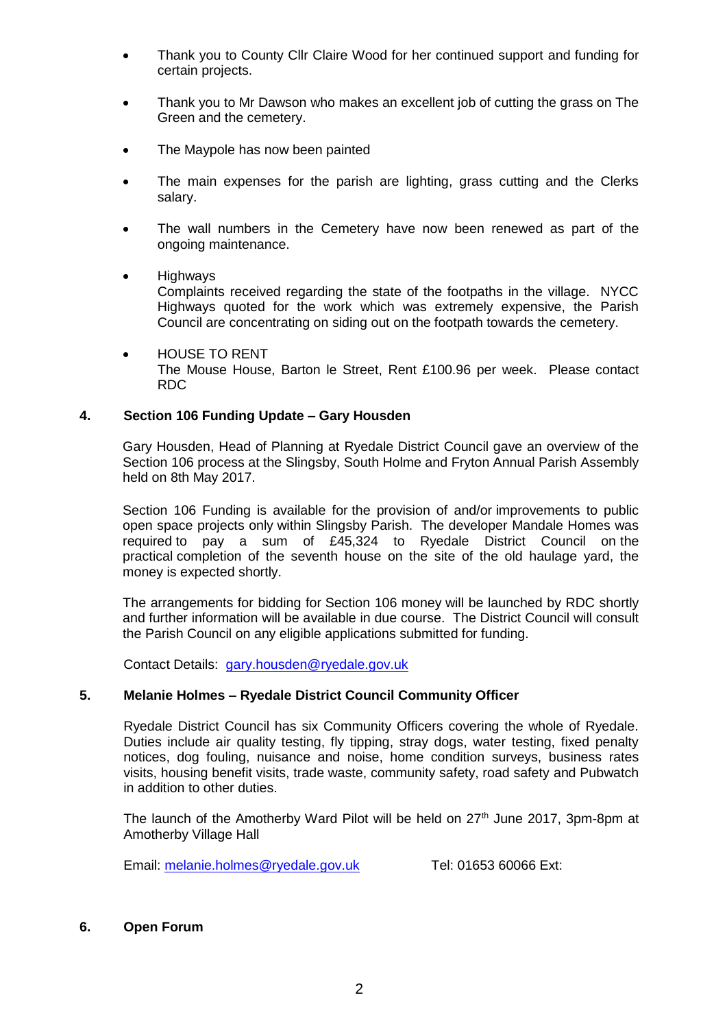- Thank you to County Cllr Claire Wood for her continued support and funding for certain projects.
- Thank you to Mr Dawson who makes an excellent job of cutting the grass on The Green and the cemetery.
- The Maypole has now been painted
- The main expenses for the parish are lighting, grass cutting and the Clerks salary.
- The wall numbers in the Cemetery have now been renewed as part of the ongoing maintenance.
- Highways

Complaints received regarding the state of the footpaths in the village. NYCC Highways quoted for the work which was extremely expensive, the Parish Council are concentrating on siding out on the footpath towards the cemetery.

 HOUSE TO RENT The Mouse House, Barton le Street, Rent £100.96 per week. Please contact RDC

## **4. Section 106 Funding Update – Gary Housden**

Gary Housden, Head of Planning at Ryedale District Council gave an overview of the Section 106 process at the Slingsby, South Holme and Fryton Annual Parish Assembly held on 8th May 2017.

Section 106 Funding is available for the provision of and/or improvements to public open space projects only within Slingsby Parish. The developer Mandale Homes was required to pay a sum of £45,324 to Ryedale District Council on the practical completion of the seventh house on the site of the old haulage yard, the money is expected shortly.

The arrangements for bidding for Section 106 money will be launched by RDC shortly and further information will be available in due course. The District Council will consult the Parish Council on any eligible applications submitted for funding.

Contact Details: [gary.housden@ryedale.gov.uk](mailto:gary.housden@ryedale.gov.uk) 

## **5. Melanie Holmes – Ryedale District Council Community Officer**

Ryedale District Council has six Community Officers covering the whole of Ryedale. Duties include air quality testing, fly tipping, stray dogs, water testing, fixed penalty notices, dog fouling, nuisance and noise, home condition surveys, business rates visits, housing benefit visits, trade waste, community safety, road safety and Pubwatch in addition to other duties.

The launch of the Amotherby Ward Pilot will be held on  $27<sup>th</sup>$  June 2017, 3pm-8pm at Amotherby Village Hall

Email: [melanie.holmes@ryedale.gov.uk](mailto:melanie.holmes@ryedale.gov.uk) Tel: 01653 60066 Ext:

#### **6. Open Forum**